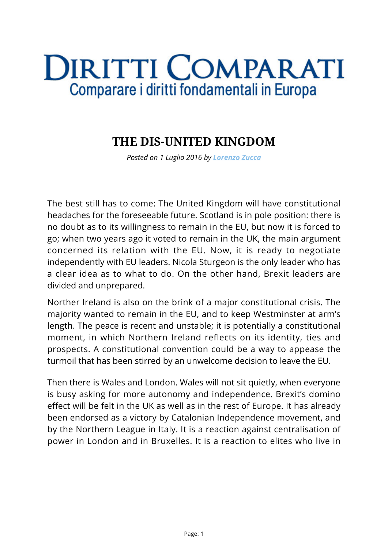## **DIRITTI COMPARATI** Comparare i diritti fondamentali in Europa

## **THE DIS-UNITED KINGDOM**

*Posted on 1 Luglio 2016 by [Lorenzo Zucca](https://www.diritticomparati.it/autore/lorenzo-zucca/)*

The best still has to come: The United Kingdom will have constitutional headaches for the foreseeable future. Scotland is in pole position: there is no doubt as to its willingness to remain in the EU, but now it is forced to go; when two years ago it voted to remain in the UK, the main argument concerned its relation with the EU. Now, it is ready to negotiate independently with EU leaders. Nicola Sturgeon is the only leader who has a clear idea as to what to do. On the other hand, Brexit leaders are divided and unprepared.

Norther Ireland is also on the brink of a major constitutional crisis. The majority wanted to remain in the EU, and to keep Westminster at arm's length. The peace is recent and unstable; it is potentially a constitutional moment, in which Northern Ireland reflects on its identity, ties and prospects. A constitutional convention could be a way to appease the turmoil that has been stirred by an unwelcome decision to leave the EU.

Then there is Wales and London. Wales will not sit quietly, when everyone is busy asking for more autonomy and independence. Brexit's domino effect will be felt in the UK as well as in the rest of Europe. It has already been endorsed as a victory by Catalonian Independence movement, and by the Northern League in Italy. It is a reaction against centralisation of power in London and in Bruxelles. It is a reaction to elites who live in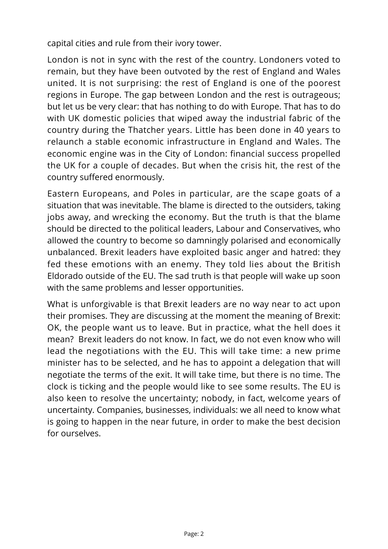capital cities and rule from their ivory tower.

London is not in sync with the rest of the country. Londoners voted to remain, but they have been outvoted by the rest of England and Wales united. It is not surprising: the rest of England is one of the poorest regions in Europe. The gap between London and the rest is outrageous; but let us be very clear: that has nothing to do with Europe. That has to do with UK domestic policies that wiped away the industrial fabric of the country during the Thatcher years. Little has been done in 40 years to relaunch a stable economic infrastructure in England and Wales. The economic engine was in the City of London: financial success propelled the UK for a couple of decades. But when the crisis hit, the rest of the country suffered enormously.

Eastern Europeans, and Poles in particular, are the scape goats of a situation that was inevitable. The blame is directed to the outsiders, taking jobs away, and wrecking the economy. But the truth is that the blame should be directed to the political leaders, Labour and Conservatives, who allowed the country to become so damningly polarised and economically unbalanced. Brexit leaders have exploited basic anger and hatred: they fed these emotions with an enemy. They told lies about the British Eldorado outside of the EU. The sad truth is that people will wake up soon with the same problems and lesser opportunities.

What is unforgivable is that Brexit leaders are no way near to act upon their promises. They are discussing at the moment the meaning of Brexit: OK, the people want us to leave. But in practice, what the hell does it mean? Brexit leaders do not know. In fact, we do not even know who will lead the negotiations with the EU. This will take time: a new prime minister has to be selected, and he has to appoint a delegation that will negotiate the terms of the exit. It will take time, but there is no time. The clock is ticking and the people would like to see some results. The EU is also keen to resolve the uncertainty; nobody, in fact, welcome years of uncertainty. Companies, businesses, individuals: we all need to know what is going to happen in the near future, in order to make the best decision for ourselves.